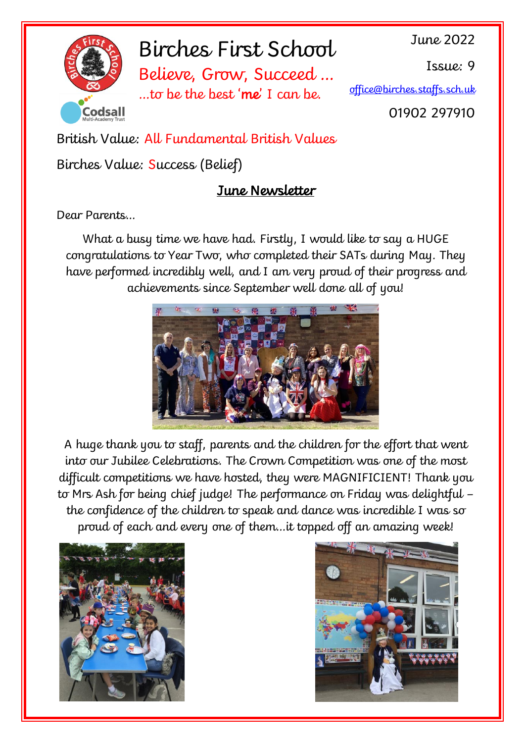

# Birches First School

Believe, Grow, Succeed … …to be the best 'me' I can be.

June 2022

Issue: 9

[office@birches.staffs.sch.uk](mailto:office@birches.staffs.sch.uk)

01902 297910

British Value: All Fundamental British Values

# Birches Value: Success (Belief)

# June Newsletter

Dear Parents…

What a busy time we have had. Firstly, I would like to say a HUGE congratulations to Year Two, who completed their SATs during May. They have performed incredibly well, and I am very proud of their progress and achievements since September well done all of you!



A huge thank you to staff, parents and the children for the effort that went into our Jubilee Celebrations. The Crown Competition was one of the most difficult competitions we have hosted, they were MAGNIFICIENT! Thank you to Mrs Ash for being chief judge! The performance on Friday was delightful – the confidence of the children to speak and dance was incredible I was so proud of each and every one of them…it topped off an amazing week!



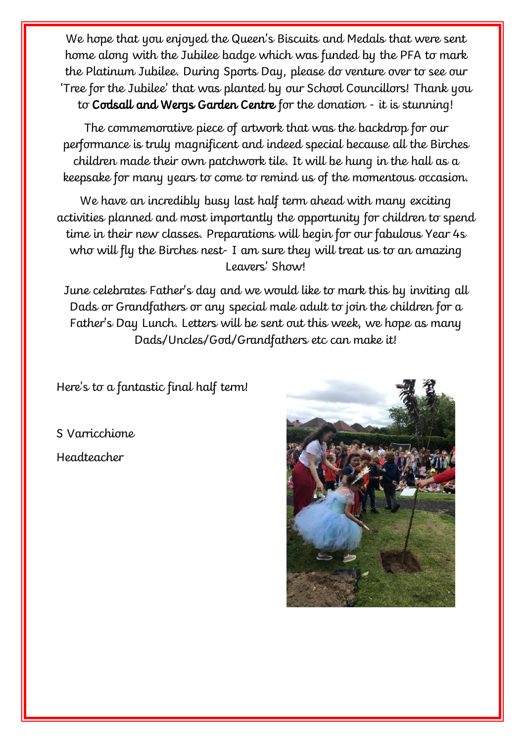We hope that you enjoyed the Queen's Biscuits and Medals that were sent home along with the Jubilee badge which was funded by the PFA to mark the Platinum Jubilee. During Sports Day, please do venture over to see our 'Tree for the Jubilee' that was planted by our School Councillors! Thank you to Codsall and Wergs Garden Centre for the donation - it is stunning!

The commemorative piece of artwork that was the backdrop for our performance is truly magnificent and indeed special because all the Birches children made their own patchwork tile. It will be hung in the hall as a keepsake for many years to come to remind us of the momentous occasion.

We have an incredibly busy last half term ahead with many exciting activities planned and most importantly the opportunity for children to spend time in their new classes. Preparations will begin for our fabulous Year 4s who will fly the Birches nest- I am sure they will treat us to an amazing Leavers' Show!

June celebrates Father's day and we would like to mark this by inviting all Dads or Grandfathers or any special male adult to join the children for a Father's Day Lunch. Letters will be sent out this week, we hope as many Dads/Uncles/God/Grandfathers etc can make it!

Here's to a fantastic final half term!

S Varricchione Headteacher

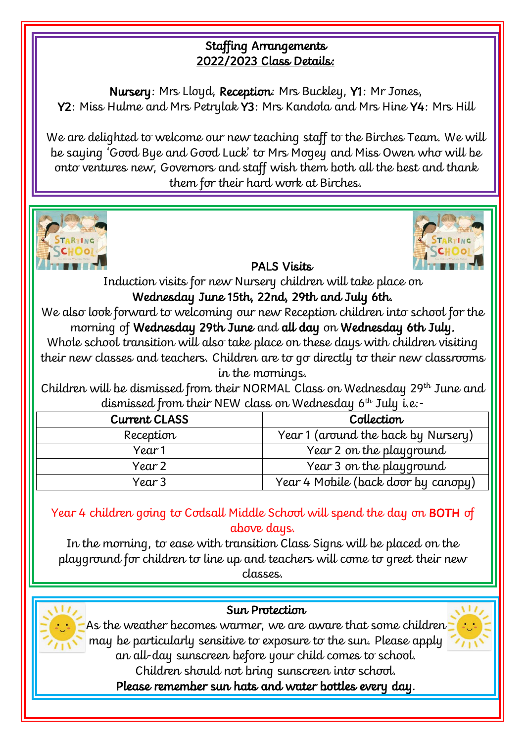#### Staffing Arrangements 2022/2023 Class Details:

Nursery: Mrs Lloyd, Reception: Mrs Buckley, Y1: Mr Jones, Y2: Miss Hulme and Mrs Petrylak Y3: Mrs Kandola and Mrs Hine Y4: Mrs Hill

We are delighted to welcome our new teaching staff to the Birches Team. We will be saying 'Good Bye and Good Luck' to Mrs Mogey and Miss Owen who will be onto ventures new, Governors and staff wish them both all the best and thank them for their hard work at Birches.





PALS Visits

Induction visits for new Nursery children will take place on

Wednesday June 15th, 22nd, 29th and July 6th.

We also look forward to welcoming our new Reception children into school for the morning of Wednesday 29th June and all day on Wednesday 6th July.

Whole school transition will also take place on these days with children visiting their new classes and teachers. Children are to go directly to their new classrooms in the mornings.

Children will be dismissed from their NORMAL Class on Wednesday 29<sup>th</sup> June and dismissed from their NEW class on Wednesday 6th July i.e:-

| <b>Current CLASS</b> | Collection                          |  |
|----------------------|-------------------------------------|--|
| Reception            | Year 1 (around the back by Nursery) |  |
| Year 1               | Year 2 on the playground            |  |
| Year 2               | Year 3 on the playground            |  |
| Year 3               | Year 4 Mobile (back door by canopy) |  |

Year 4 children going to Codsall Middle School will spend the day on BOTH of above days.

In the morning, to ease with transition Class Signs will be placed on the playground for children to line up and teachers will come to greet their new classes.



### Sun Protection

As the weather becomes warmer, we are aware that some children may be particularly sensitive to exposure to the sun. Please apply an all-day sunscreen before your child comes to school.

Children should not bring sunscreen into school.

Please remember sun hats and water bottles every day.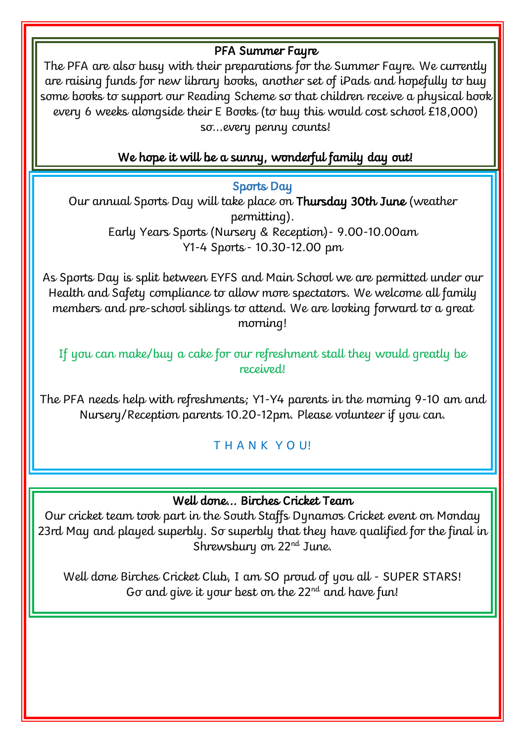#### PFA Summer Fayre

The PFA are also busy with their preparations for the Summer Fayre. We currently are raising funds for new library books, another set of iPads and hopefully to buy some books to support our Reading Scheme so that children receive a physical book every 6 weeks alongside their E Books (to buy this would cost school £18,000) so...every penny counts!

### We hope it will be a sunny, wonderful family day out!

Sports Day

Our annual Sports Day will take place on Thursday 30th June (weather permitting). Early Years Sports (Nursery & Reception)- 9.00-10.00am Y1-4 Sports - 10.30-12.00 pm

As Sports Day is split between EYFS and Main School we are permitted under our Health and Safety compliance to allow more spectators. We welcome all family members and pre-school siblings to attend. We are looking forward to a great morning!

If you can make/buy a cake for our refreshment stall they would greatly be received!

The PFA needs help with refreshments; Y1-Y4 parents in the morning 9-10 am and Nursery/Reception parents 10.20-12pm. Please volunteer if you can.

T H A N K Y O U!

#### Well done... Birches Cricket Team

Our cricket team took part in the South Staffs Dynamos Cricket event on Monday 23rd May and played superbly. So superbly that they have qualified for the final in Shrewsbury on 22<sup>nd</sup> June.

Well done Birches Cricket Club, I am SO proud of you all - SUPER STARS! Go and give it your best on the  $22<sup>nd</sup>$  and have fun!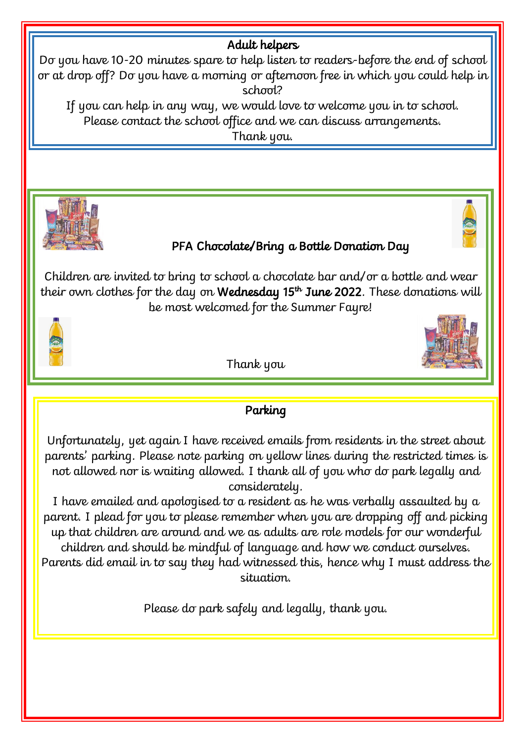#### Adult helpers

Do you have 10-20 minutes spare to help listen to readers-before the end of school or at drop off? Do you have a morning or afternoon free in which you could help in school?

If you can help in any way, we would love to welcome you in to school. Please contact the school office and we can discuss arrangements. Thank you.



## PFA Chocolate/Bring a Bottle Donation Day

Children are invited to bring to school a chocolate bar and/or a bottle and wear their own clothes for the day on **Wednesday 15<sup>th</sup> June 2022**. These donations will be most welcomed for the Summer Fayre!



Thank you

## Parking

Unfortunately, yet again I have received emails from residents in the street about parents' parking. Please note parking on yellow lines during the restricted times is not allowed nor is waiting allowed. I thank all of you who do park legally and considerately.

I have emailed and apologised to a resident as he was verbally assaulted by a parent. I plead for you to please remember when you are dropping off and picking up that children are around and we as adults are role models for our wonderful children and should be mindful of language and how we conduct ourselves. Parents did email in to say they had witnessed this, hence why I must address the situation.

Please do park safely and legally, thank you.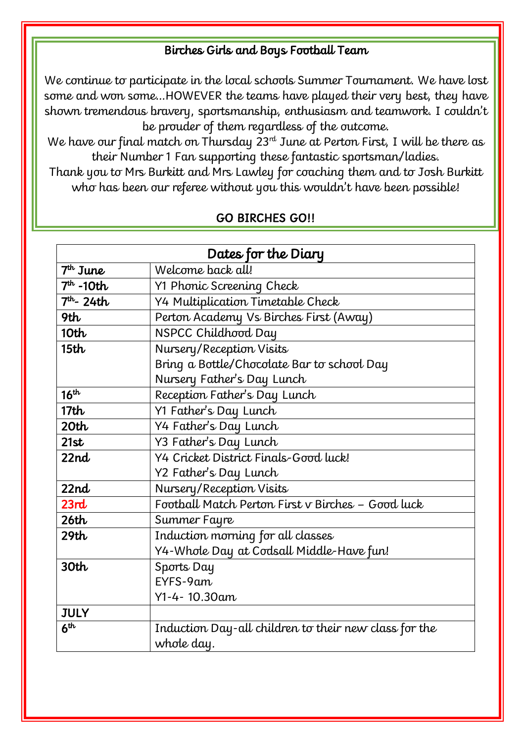#### Birches Girls and Boys Football Team

We continue to participate in the local schools Summer Tournament. We have lost some and won some…HOWEVER the teams have played their very best, they have shown tremendous bravery, sportsmanship, enthusiasm and teamwork. I couldn't be prouder of them regardless of the outcome.

We have our final match on Thursday  $23<sup>rd</sup>$  June at Perton First, I will be there as their Number 1 Fan supporting these fantastic sportsman/ladies.

Thank you to Mrs Burkitt and Mrs Lawley for coaching them and to Josh Burkitt who has been our referee without you this wouldn't have been possible!

| Dates for the Diary |                                                       |  |  |
|---------------------|-------------------------------------------------------|--|--|
| $7th$ June          | Welcome back all!                                     |  |  |
| $7th$ -10th         | Y1 Phonic Screening Check                             |  |  |
| $7th - 24th$        | Y4 Multiplication Timetable Check                     |  |  |
| 9th                 | Perton Academy Vs Birches First (Away)                |  |  |
| 10 <sub>th</sub>    | NSPCC Childhood Day                                   |  |  |
| 15 <sub>th</sub>    | Nursery/Reception Visits                              |  |  |
|                     | Bring a Bottle/Chocolate Bar to school Day            |  |  |
|                     | Nursery Father's Day Lunch                            |  |  |
| 16 <sup>th</sup>    | Reception Father's Day Lunch                          |  |  |
| 17 <sub>th</sub>    | Y1 Father's Day Lunch                                 |  |  |
| 20 <sub>th</sub>    | Y4 Father's Day Lunch                                 |  |  |
| 21st                | Y3 Father's Day Lunch                                 |  |  |
| 22nd                | Y4 Cricket District Finals-Good luck!                 |  |  |
|                     | Y2 Father's Day Lunch                                 |  |  |
| 22nd                | Nursery/Reception Visits                              |  |  |
| 23rd                | Football Match Perton First v Birches - Good luck     |  |  |
| 26th                | Summer Fayre                                          |  |  |
| 29th                | Induction morning for all classes                     |  |  |
|                     | Y4-Whole Day at Codsall Middle-Have fun!              |  |  |
| 30 <sub>th</sub>    | Sports Day                                            |  |  |
|                     | EYFS-9am                                              |  |  |
|                     | Y1-4-10.30am                                          |  |  |
| <b>JULY</b>         |                                                       |  |  |
| 6 <sup>th</sup>     | Induction Day-all children to their new class for the |  |  |
|                     | whole day.                                            |  |  |

#### GO BIRCHES GO!!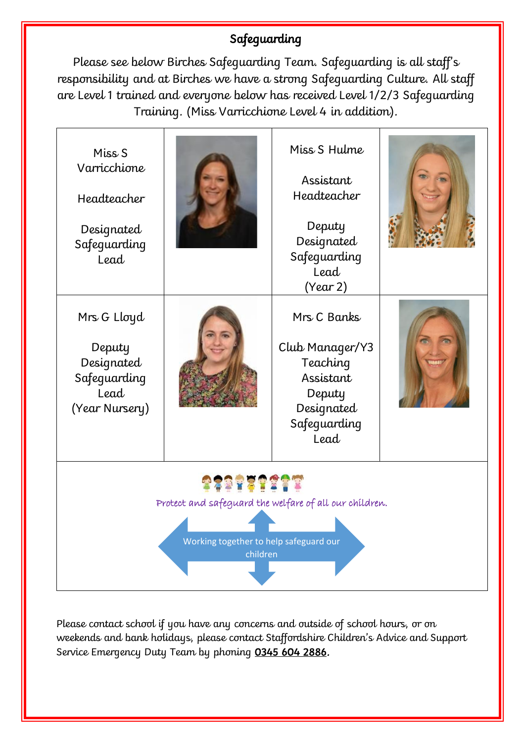# Safeguarding

Please see below Birches Safeguarding Team. Safeguarding is all staff's responsibility and at Birches we have a strong Safeguarding Culture. All staff are Level 1 trained and everyone below has received Level 1/2/3 Safeguarding Training. (Miss Varricchione Level 4 in addition).

| Miss <sub>S</sub><br>Varricchione<br>Headteacher<br>Designated<br>Safeguarding<br>Lead                       |  | Miss S Hulme<br>Assistant<br>Headteacher<br>Deputy<br>Designated<br>Safeguarding<br>Lead<br>(Year 2)    |  |  |  |
|--------------------------------------------------------------------------------------------------------------|--|---------------------------------------------------------------------------------------------------------|--|--|--|
| Mrs G Lloyd<br>Deputy<br>Designated<br>Safeguarding<br>Lead<br>(Year Nursery)                                |  | Mrs C Banks<br>Club Manager/Y3<br>Teaching<br>Assistant<br>Deputy<br>Designated<br>Safeguarding<br>Lead |  |  |  |
| Protect and safeguard the welfare of all our children.<br>Working together to help safeguard our<br>children |  |                                                                                                         |  |  |  |

Please contact school if you have any concerns and outside of school hours, or on weekends and bank holidays, please contact Staffordshire Children's Advice and Support Service Emergency Duty Team by phoning [0345 604 2886.](tel:03456042886)